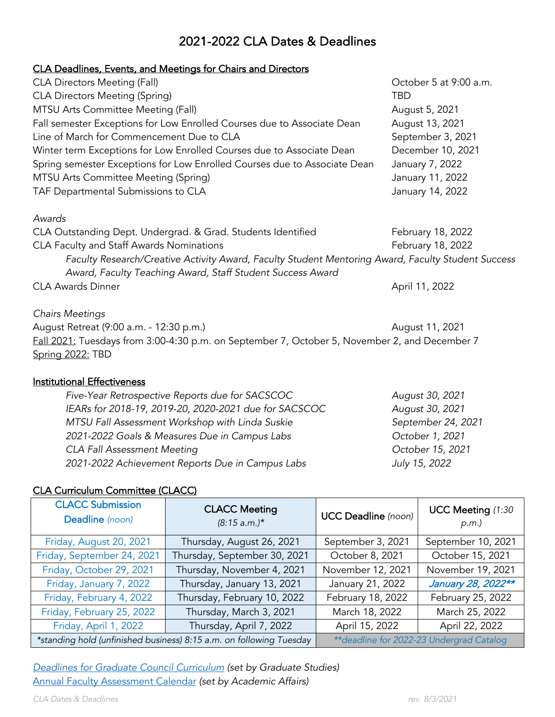# 2021-2022 CLA Dates & Deadlines

### CLA Deadlines, Events, and Meetings for Chairs and Directors

| <b>CLA Directors Meeting (Fall)</b>                                                                | October 5 at 9:00 a.m. |  |  |  |
|----------------------------------------------------------------------------------------------------|------------------------|--|--|--|
| <b>CLA Directors Meeting (Spring)</b>                                                              | <b>TBD</b>             |  |  |  |
| MTSU Arts Committee Meeting (Fall)                                                                 | August 5, 2021         |  |  |  |
| Fall semester Exceptions for Low Enrolled Courses due to Associate Dean                            | August 13, 2021        |  |  |  |
| Line of March for Commencement Due to CLA                                                          | September 3, 2021      |  |  |  |
| Winter term Exceptions for Low Enrolled Courses due to Associate Dean                              | December 10, 2021      |  |  |  |
| Spring semester Exceptions for Low Enrolled Courses due to Associate Dean                          | January 7, 2022        |  |  |  |
| MTSU Arts Committee Meeting (Spring)                                                               | January 11, 2022       |  |  |  |
| TAF Departmental Submissions to CLA                                                                | January 14, 2022       |  |  |  |
| Awards                                                                                             |                        |  |  |  |
| CLA Outstanding Dept. Undergrad. & Grad. Students Identified                                       | February 18, 2022      |  |  |  |
| CLA Faculty and Staff Awards Nominations                                                           | February 18, 2022      |  |  |  |
| Faculty Research/Creative Activity Award, Faculty Student Mentoring Award, Faculty Student Success |                        |  |  |  |
| Award, Faculty Teaching Award, Staff Student Success Award                                         |                        |  |  |  |

CLA Awards Dinner **April 11, 2022** 

*Chairs Meetings*

August Retreat (9:00 a.m. - 12:30 p.m.) August 11, 2021 Fall 2021: Tuesdays from 3:00-4:30 p.m. on September 7, October 5, November 2, and December 7 Spring 2022: TBD

#### Institutional Effectiveness

| Five-Year Retrospective Reports due for SACSCOC       | August 30, 2021    |
|-------------------------------------------------------|--------------------|
| IEARs for 2018-19, 2019-20, 2020-2021 due for SACSCOC | August 30, 2021    |
| MTSU Fall Assessment Workshop with Linda Suskie       | September 24, 2021 |
| 2021-2022 Goals & Measures Due in Campus Labs         | October 1, 2021    |
| <b>CLA Fall Assessment Meeting</b>                    | October 15, 2021   |
| 2021-2022 Achievement Reports Due in Campus Labs      | July 15, 2022      |

### CLA Curriculum Committee (CLACC)

| <b>CLACC Submission</b><br>Deadline (noon)                          | <b>CLACC Meeting</b><br>$(8:15 a.m.)*$ | <b>UCC Deadline</b> (noon) | UCC Meeting (1:30<br>p.m.                 |
|---------------------------------------------------------------------|----------------------------------------|----------------------------|-------------------------------------------|
| Friday, August 20, 2021                                             | Thursday, August 26, 2021              | September 3, 2021          | September 10, 2021                        |
| Friday, September 24, 2021                                          | Thursday, September 30, 2021           | October 8, 2021            | October 15, 2021                          |
| Friday, October 29, 2021                                            | Thursday, November 4, 2021             | November 12, 2021          | November 19, 2021                         |
| Friday, January 7, 2022                                             | Thursday, January 13, 2021             | January 21, 2022           | January 28, 2022**                        |
| Friday, February 4, 2022                                            | Thursday, February 10, 2022            | February 18, 2022          | February 25, 2022                         |
| Friday, February 25, 2022                                           | Thursday, March 3, 2021                | March 18, 2022             | March 25, 2022                            |
| Friday, April 1, 2022                                               | Thursday, April 7, 2022                | April 15, 2022             | April 22, 2022                            |
| *standing hold (unfinished business) 8:15 a.m. on following Tuesday |                                        |                            | ** deadline for 2022-23 Undergrad Catalog |

*[Deadlines for Graduate Council Curriculum](https://www.mtsu.edu/graduate/faculty/curriculum.php) (set by Graduate Studies)* [Annual Faculty Assessment Calendar](https://www.mtsu.edu/provost/docs/AnnualFacultyAssessmentCalendar2021-22REVISED.pdf) *(set by Academic Affairs)*